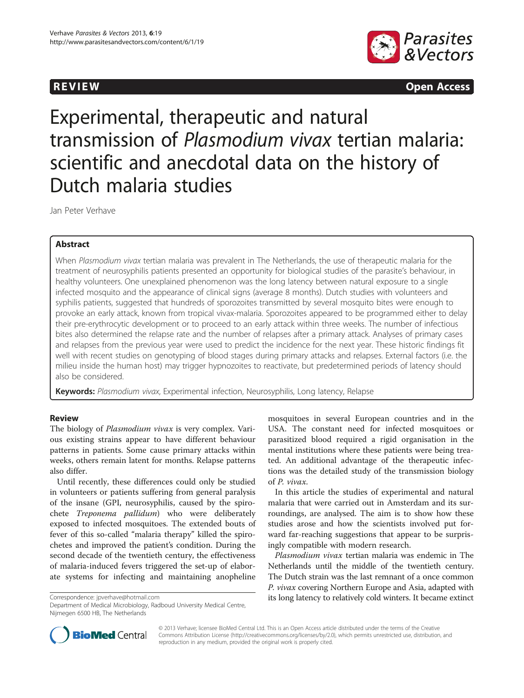

**REVIEW CONSIDERING CONSIDERING CONSIDERING CONSIDERING CONSIDERING CONSIDERING CONSIDERING CONSIDERING CONSIDERING CONSIDERING CONSIDERING CONSIDERING CONSIDERING CONSIDERING CONSIDERING CONSIDERING CONSIDERING CONSIDER** 

# Experimental, therapeutic and natural transmission of Plasmodium vivax tertian malaria: scientific and anecdotal data on the history of Dutch malaria studies

Jan Peter Verhave

# Abstract

When Plasmodium vivax tertian malaria was prevalent in The Netherlands, the use of therapeutic malaria for the treatment of neurosyphilis patients presented an opportunity for biological studies of the parasite's behaviour, in healthy volunteers. One unexplained phenomenon was the long latency between natural exposure to a single infected mosquito and the appearance of clinical signs (average 8 months). Dutch studies with volunteers and syphilis patients, suggested that hundreds of sporozoites transmitted by several mosquito bites were enough to provoke an early attack, known from tropical vivax-malaria. Sporozoites appeared to be programmed either to delay their pre-erythrocytic development or to proceed to an early attack within three weeks. The number of infectious bites also determined the relapse rate and the number of relapses after a primary attack. Analyses of primary cases and relapses from the previous year were used to predict the incidence for the next year. These historic findings fit well with recent studies on genotyping of blood stages during primary attacks and relapses. External factors (i.e. the milieu inside the human host) may trigger hypnozoites to reactivate, but predetermined periods of latency should also be considered.

Keywords: Plasmodium vivax, Experimental infection, Neurosyphilis, Long latency, Relapse

# Review

The biology of Plasmodium vivax is very complex. Various existing strains appear to have different behaviour patterns in patients. Some cause primary attacks within weeks, others remain latent for months. Relapse patterns also differ.

Until recently, these differences could only be studied in volunteers or patients suffering from general paralysis of the insane (GPI, neurosyphilis, caused by the spirochete Treponema pallidum) who were deliberately exposed to infected mosquitoes. The extended bouts of fever of this so-called "malaria therapy" killed the spirochetes and improved the patient's condition. During the second decade of the twentieth century, the effectiveness of malaria-induced fevers triggered the set-up of elaborate systems for infecting and maintaining anopheline

Nijmegen 6500 HB, The Netherlands

mosquitoes in several European countries and in the USA. The constant need for infected mosquitoes or parasitized blood required a rigid organisation in the mental institutions where these patients were being treated. An additional advantage of the therapeutic infections was the detailed study of the transmission biology of P. vivax.

In this article the studies of experimental and natural malaria that were carried out in Amsterdam and its surroundings, are analysed. The aim is to show how these studies arose and how the scientists involved put forward far-reaching suggestions that appear to be surprisingly compatible with modern research.

Plasmodium vivax tertian malaria was endemic in The Netherlands until the middle of the twentieth century. The Dutch strain was the last remnant of a once common P. vivax covering Northern Europe and Asia, adapted with Correspondence: [jpverhave@hotmail.com](mailto:jpverhave@hotmail.com) its long latency to relatively cold winters. It became extinct Department of Medical Microbiology, Radboud University Medical Centre,



© 2013 Verhave; licensee BioMed Central Ltd. This is an Open Access article distributed under the terms of the Creative Commons Attribution License [\(http://creativecommons.org/licenses/by/2.0\)](http://creativecommons.org/licenses/by/2.0), which permits unrestricted use, distribution, and reproduction in any medium, provided the original work is properly cited.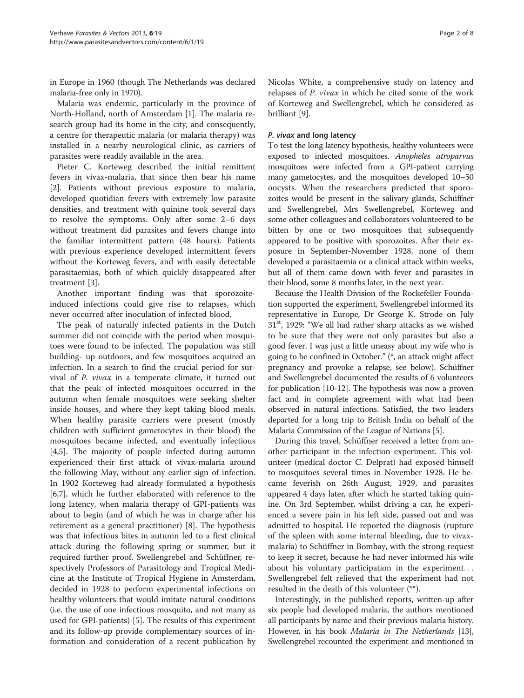in Europe in 1960 (though The Netherlands was declared malaria-free only in 1970).

Malaria was endemic, particularly in the province of North-Holland, north of Amsterdam [[1](#page-6-0)]. The malaria research group had its home in the city, and consequently, a centre for therapeutic malaria (or malaria therapy) was installed in a nearby neurological clinic, as carriers of parasites were readily available in the area.

Pieter C. Korteweg described the initial remittent fevers in vivax-malaria, that since then bear his name [[2\]](#page-6-0). Patients without previous exposure to malaria, developed quotidian fevers with extremely low parasite densities, and treatment with quinine took several days to resolve the symptoms. Only after some 2–6 days without treatment did parasites and fevers change into the familiar intermittent pattern (48 hours). Patients with previous experience developed intermittent fevers without the Korteweg fevers, and with easily detectable parasitaemias, both of which quickly disappeared after treatment [[3\]](#page-6-0).

Another important finding was that sporozoiteinduced infections could give rise to relapses, which never occurred after inoculation of infected blood.

The peak of naturally infected patients in the Dutch summer did not coincide with the period when mosquitoes were found to be infected. The population was still building- up outdoors, and few mosquitoes acquired an infection. In a search to find the crucial period for survival of P. vivax in a temperate climate, it turned out that the peak of infected mosquitoes occurred in the autumn when female mosquitoes were seeking shelter inside houses, and where they kept taking blood meals. When healthy parasite carriers were present (mostly children with sufficient gametocytes in their blood) the mosquitoes became infected, and eventually infectious [[4,5\]](#page-6-0). The majority of people infected during autumn experienced their first attack of vivax-malaria around the following May, without any earlier sign of infection. In 1902 Korteweg had already formulated a hypothesis [[6,7\]](#page-6-0), which he further elaborated with reference to the long latency, when malaria therapy of GPI-patients was about to begin (and of which he was in charge after his retirement as a general practitioner) [[8\]](#page-6-0). The hypothesis was that infectious bites in autumn led to a first clinical attack during the following spring or summer, but it required further proof. Swellengrebel and Schüffner, respectively Professors of Parasitology and Tropical Medicine at the Institute of Tropical Hygiene in Amsterdam, decided in 1928 to perform experimental infections on healthy volunteers that would imitate natural conditions (i.e. the use of one infectious mosquito, and not many as used for GPI-patients) [[5\]](#page-6-0). The results of this experiment and its follow-up provide complementary sources of information and consideration of a recent publication by Nicolas White, a comprehensive study on latency and relapses of P. vivax in which he cited some of the work of Korteweg and Swellengrebel, which he considered as brilliant [[9\]](#page-6-0).

# P. vivax and long latency

To test the long latency hypothesis, healthy volunteers were exposed to infected mosquitoes. Anopheles atroparvus mosquitoes were infected from a GPI-patient carrying many gametocytes, and the mosquitoes developed 10–50 oocysts. When the researchers predicted that sporozoites would be present in the salivary glands, Schüffner and Swellengrebel, Mrs Swellengrebel, Korteweg and some other colleagues and collaborators volunteered to be bitten by one or two mosquitoes that subsequently appeared to be positive with sporozoites. After their exposure in September-November 1928, none of them developed a parasitaemia or a clinical attack within weeks, but all of them came down with fever and parasites in their blood, some 8 months later, in the next year.

Because the Health Division of the Rockefeller Foundation supported the experiment, Swellengrebel informed its representative in Europe, Dr George K. Strode on July  $31<sup>st</sup>$ , 1929: "We all had rather sharp attacks as we wished to be sure that they were not only parasites but also a good fever. I was just a little uneasy about my wife who is going to be confined in October." (\*, an attack might affect pregnancy and provoke a relapse, see below). Schüffner and Swellengrebel documented the results of 6 volunteers for publication [\[10-12\]](#page-6-0). The hypothesis was now a proven fact and in complete agreement with what had been observed in natural infections. Satisfied, the two leaders departed for a long trip to British India on behalf of the Malaria Commission of the League of Nations [[5\]](#page-6-0).

During this travel, Schüffner received a letter from another participant in the infection experiment. This volunteer (medical doctor C. Delprat) had exposed himself to mosquitoes several times in November 1928. He became feverish on 26th August, 1929, and parasites appeared 4 days later, after which he started taking quinine. On 3rd September, whilst driving a car, he experienced a severe pain in his left side, passed out and was admitted to hospital. He reported the diagnosis (rupture of the spleen with some internal bleeding, due to vivaxmalaria) to Schüffner in Bombay, with the strong request to keep it secret, because he had never informed his wife about his voluntary participation in the experiment... Swellengrebel felt relieved that the experiment had not resulted in the death of this volunteer (\*\*).

Interestingly, in the published reports, written-up after six people had developed malaria, the authors mentioned all participants by name and their previous malaria history. However, in his book Malaria in The Netherlands [\[13](#page-6-0)], Swellengrebel recounted the experiment and mentioned in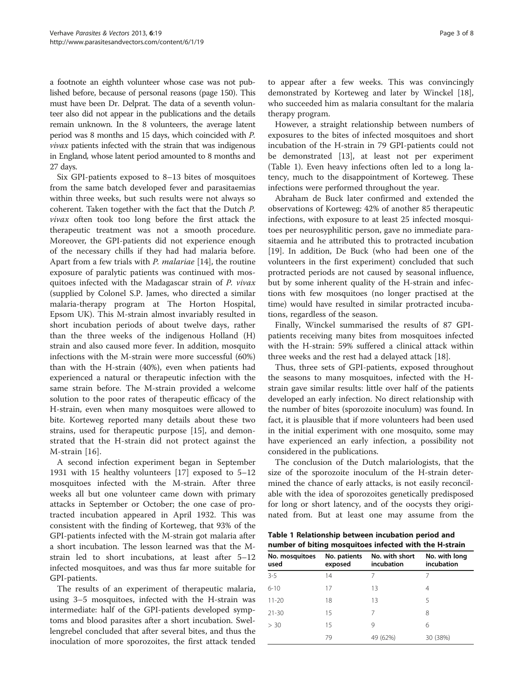a footnote an eighth volunteer whose case was not published before, because of personal reasons (page 150). This must have been Dr. Delprat. The data of a seventh volunteer also did not appear in the publications and the details remain unknown. In the 8 volunteers, the average latent period was 8 months and 15 days, which coincided with P. vivax patients infected with the strain that was indigenous in England, whose latent period amounted to 8 months and 27 days.

Six GPI-patients exposed to 8–13 bites of mosquitoes from the same batch developed fever and parasitaemias within three weeks, but such results were not always so coherent. Taken together with the fact that the Dutch P. vivax often took too long before the first attack the therapeutic treatment was not a smooth procedure. Moreover, the GPI-patients did not experience enough of the necessary chills if they had had malaria before. Apart from a few trials with P. malariae [\[14\]](#page-6-0), the routine exposure of paralytic patients was continued with mosquitoes infected with the Madagascar strain of P. vivax (supplied by Colonel S.P. James, who directed a similar malaria-therapy program at The Horton Hospital, Epsom UK). This M-strain almost invariably resulted in short incubation periods of about twelve days, rather than the three weeks of the indigenous Holland (H) strain and also caused more fever. In addition, mosquito infections with the M-strain were more successful (60%) than with the H-strain (40%), even when patients had experienced a natural or therapeutic infection with the same strain before. The M-strain provided a welcome solution to the poor rates of therapeutic efficacy of the H-strain, even when many mosquitoes were allowed to bite. Korteweg reported many details about these two strains, used for therapeutic purpose [[15\]](#page-7-0), and demonstrated that the H-strain did not protect against the M-strain [[16\]](#page-7-0).

A second infection experiment began in September 1931 with 15 healthy volunteers [[17\]](#page-7-0) exposed to 5–12 mosquitoes infected with the M-strain. After three weeks all but one volunteer came down with primary attacks in September or October; the one case of protracted incubation appeared in April 1932. This was consistent with the finding of Korteweg, that 93% of the GPI-patients infected with the M-strain got malaria after a short incubation. The lesson learned was that the Mstrain led to short incubations, at least after 5–12 infected mosquitoes, and was thus far more suitable for GPI-patients.

The results of an experiment of therapeutic malaria, using 3–5 mosquitoes, infected with the H-strain was intermediate: half of the GPI-patients developed symptoms and blood parasites after a short incubation. Swellengrebel concluded that after several bites, and thus the inoculation of more sporozoites, the first attack tended to appear after a few weeks. This was convincingly demonstrated by Korteweg and later by Winckel [\[18](#page-7-0)], who succeeded him as malaria consultant for the malaria therapy program.

However, a straight relationship between numbers of exposures to the bites of infected mosquitoes and short incubation of the H-strain in 79 GPI-patients could not be demonstrated [\[13\]](#page-6-0), at least not per experiment (Table 1). Even heavy infections often led to a long latency, much to the disappointment of Korteweg. These infections were performed throughout the year.

Abraham de Buck later confirmed and extended the observations of Korteweg: 42% of another 85 therapeutic infections, with exposure to at least 25 infected mosquitoes per neurosyphilitic person, gave no immediate parasitaemia and he attributed this to protracted incubation [[19\]](#page-7-0). In addition, De Buck (who had been one of the volunteers in the first experiment) concluded that such protracted periods are not caused by seasonal influence, but by some inherent quality of the H-strain and infections with few mosquitoes (no longer practised at the time) would have resulted in similar protracted incubations, regardless of the season.

Finally, Winckel summarised the results of 87 GPIpatients receiving many bites from mosquitoes infected with the H-strain: 59% suffered a clinical attack within three weeks and the rest had a delayed attack [\[18\]](#page-7-0).

Thus, three sets of GPI-patients, exposed throughout the seasons to many mosquitoes, infected with the Hstrain gave similar results: little over half of the patients developed an early infection. No direct relationship with the number of bites (sporozoite inoculum) was found. In fact, it is plausible that if more volunteers had been used in the initial experiment with one mosquito, some may have experienced an early infection, a possibility not considered in the publications.

The conclusion of the Dutch malariologists, that the size of the sporozoite inoculum of the H-strain determined the chance of early attacks, is not easily reconcilable with the idea of sporozoites genetically predisposed for long or short latency, and of the oocysts they originated from. But at least one may assume from the

Table 1 Relationship between incubation period and number of biting mosquitoes infected with the H-strain

| No. mosquitoes<br>used | No. patients<br>exposed | No. with short<br>incubation | No. with long<br>incubation |
|------------------------|-------------------------|------------------------------|-----------------------------|
| $3 - 5$                | 14                      | 7                            | 7                           |
| $6 - 10$               | 17                      | 13                           | 4                           |
| $11 - 20$              | 18                      | 13                           | 5                           |
| $21 - 30$              | 15                      | 7                            | 8                           |
| > 30                   | 15                      | 9                            | 6                           |
|                        | 79                      | 49 (62%)                     | 30 (38%)                    |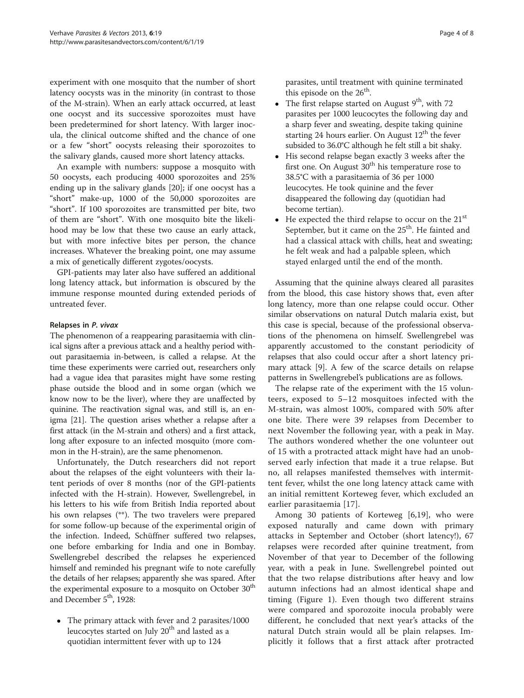experiment with one mosquito that the number of short latency oocysts was in the minority (in contrast to those of the M-strain). When an early attack occurred, at least one oocyst and its successive sporozoites must have been predetermined for short latency. With larger inocula, the clinical outcome shifted and the chance of one or a few "short" oocysts releasing their sporozoites to the salivary glands, caused more short latency attacks.

An example with numbers: suppose a mosquito with 50 oocysts, each producing 4000 sporozoites and 25% ending up in the salivary glands [[20\]](#page-7-0); if one oocyst has a "short" make-up, 1000 of the 50,000 sporozoites are "short". If 100 sporozoites are transmitted per bite, two of them are "short". With one mosquito bite the likelihood may be low that these two cause an early attack, but with more infective bites per person, the chance increases. Whatever the breaking point, one may assume a mix of genetically different zygotes/oocysts.

GPI-patients may later also have suffered an additional long latency attack, but information is obscured by the immune response mounted during extended periods of untreated fever.

# Relapses in P. vivax

The phenomenon of a reappearing parasitaemia with clinical signs after a previous attack and a healthy period without parasitaemia in-between, is called a relapse. At the time these experiments were carried out, researchers only had a vague idea that parasites might have some resting phase outside the blood and in some organ (which we know now to be the liver), where they are unaffected by quinine. The reactivation signal was, and still is, an enigma [\[21](#page-7-0)]. The question arises whether a relapse after a first attack (in the M-strain and others) and a first attack, long after exposure to an infected mosquito (more common in the H-strain), are the same phenomenon.

Unfortunately, the Dutch researchers did not report about the relapses of the eight volunteers with their latent periods of over 8 months (nor of the GPI-patients infected with the H-strain). However, Swellengrebel, in his letters to his wife from British India reported about his own relapses (\*\*). The two travelers were prepared for some follow-up because of the experimental origin of the infection. Indeed, Schüffner suffered two relapses, one before embarking for India and one in Bombay. Swellengrebel described the relapses he experienced himself and reminded his pregnant wife to note carefully the details of her relapses; apparently she was spared. After the experimental exposure to a mosquito on October 30<sup>th</sup> and December 5<sup>th</sup>, 1928:

• The primary attack with fever and 2 parasites/1000 leucocytes started on July 20<sup>th</sup> and lasted as a quotidian intermittent fever with up to 124

parasites, until treatment with quinine terminated this episode on the  $26^{\text{th}}$ .

- The first relapse started on August  $9<sup>th</sup>$ , with 72 parasites per 1000 leucocytes the following day and a sharp fever and sweating, despite taking quinine starting 24 hours earlier. On August  $12<sup>th</sup>$  the fever subsided to 36.0°C although he felt still a bit shaky.
- His second relapse began exactly 3 weeks after the first one. On August  $30<sup>th</sup>$  his temperature rose to 38.5°C with a parasitaemia of 36 per 1000 leucocytes. He took quinine and the fever disappeared the following day (quotidian had become tertian).
- He expected the third relapse to occur on the  $21<sup>st</sup>$ September, but it came on the 25<sup>th</sup>. He fainted and had a classical attack with chills, heat and sweating; he felt weak and had a palpable spleen, which stayed enlarged until the end of the month.

Assuming that the quinine always cleared all parasites from the blood, this case history shows that, even after long latency, more than one relapse could occur. Other similar observations on natural Dutch malaria exist, but this case is special, because of the professional observations of the phenomena on himself. Swellengrebel was apparently accustomed to the constant periodicity of relapses that also could occur after a short latency primary attack [[9\]](#page-6-0). A few of the scarce details on relapse patterns in Swellengrebel's publications are as follows.

The relapse rate of the experiment with the 15 volunteers, exposed to 5–12 mosquitoes infected with the M-strain, was almost 100%, compared with 50% after one bite. There were 39 relapses from December to next November the following year, with a peak in May. The authors wondered whether the one volunteer out of 15 with a protracted attack might have had an unobserved early infection that made it a true relapse. But no, all relapses manifested themselves with intermittent fever, whilst the one long latency attack came with an initial remittent Korteweg fever, which excluded an earlier parasitaemia [[17\]](#page-7-0).

Among 30 patients of Korteweg [[6,](#page-6-0)[19](#page-7-0)], who were exposed naturally and came down with primary attacks in September and October (short latency!), 67 relapses were recorded after quinine treatment, from November of that year to December of the following year, with a peak in June. Swellengrebel pointed out that the two relapse distributions after heavy and low autumn infections had an almost identical shape and timing (Figure [1\)](#page-4-0). Even though two different strains were compared and sporozoite inocula probably were different, he concluded that next year's attacks of the natural Dutch strain would all be plain relapses. Implicitly it follows that a first attack after protracted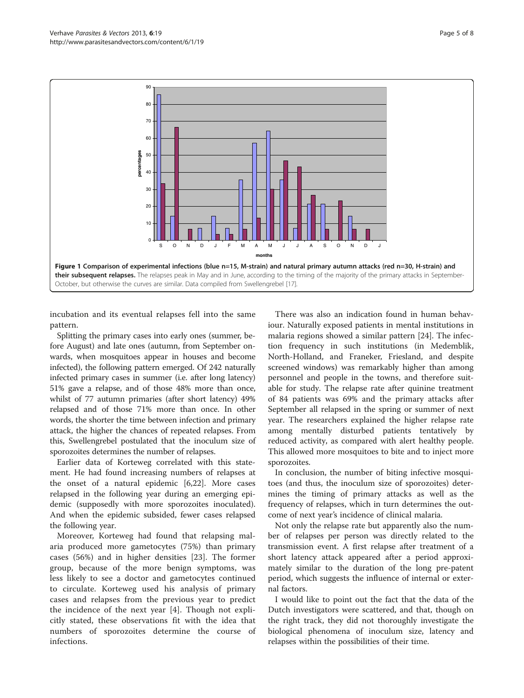<span id="page-4-0"></span>

incubation and its eventual relapses fell into the same pattern.

Splitting the primary cases into early ones (summer, before August) and late ones (autumn, from September onwards, when mosquitoes appear in houses and become infected), the following pattern emerged. Of 242 naturally infected primary cases in summer (i.e. after long latency) 51% gave a relapse, and of those 48% more than once, whilst of 77 autumn primaries (after short latency) 49% relapsed and of those 71% more than once. In other words, the shorter the time between infection and primary attack, the higher the chances of repeated relapses. From this, Swellengrebel postulated that the inoculum size of sporozoites determines the number of relapses.

Earlier data of Korteweg correlated with this statement. He had found increasing numbers of relapses at the onset of a natural epidemic [\[6](#page-6-0)[,22\]](#page-7-0). More cases relapsed in the following year during an emerging epidemic (supposedly with more sporozoites inoculated). And when the epidemic subsided, fewer cases relapsed the following year.

Moreover, Korteweg had found that relapsing malaria produced more gametocytes (75%) than primary cases (56%) and in higher densities [\[23](#page-7-0)]. The former group, because of the more benign symptoms, was less likely to see a doctor and gametocytes continued to circulate. Korteweg used his analysis of primary cases and relapses from the previous year to predict the incidence of the next year [\[4](#page-6-0)]. Though not explicitly stated, these observations fit with the idea that numbers of sporozoites determine the course of infections.

There was also an indication found in human behaviour. Naturally exposed patients in mental institutions in malaria regions showed a similar pattern [\[24\]](#page-7-0). The infection frequency in such institutions (in Medemblik, North-Holland, and Franeker, Friesland, and despite screened windows) was remarkably higher than among personnel and people in the towns, and therefore suitable for study. The relapse rate after quinine treatment of 84 patients was 69% and the primary attacks after September all relapsed in the spring or summer of next year. The researchers explained the higher relapse rate among mentally disturbed patients tentatively by reduced activity, as compared with alert healthy people. This allowed more mosquitoes to bite and to inject more sporozoites.

In conclusion, the number of biting infective mosquitoes (and thus, the inoculum size of sporozoites) determines the timing of primary attacks as well as the frequency of relapses, which in turn determines the outcome of next year's incidence of clinical malaria.

Not only the relapse rate but apparently also the number of relapses per person was directly related to the transmission event. A first relapse after treatment of a short latency attack appeared after a period approximately similar to the duration of the long pre-patent period, which suggests the influence of internal or external factors.

I would like to point out the fact that the data of the Dutch investigators were scattered, and that, though on the right track, they did not thoroughly investigate the biological phenomena of inoculum size, latency and relapses within the possibilities of their time.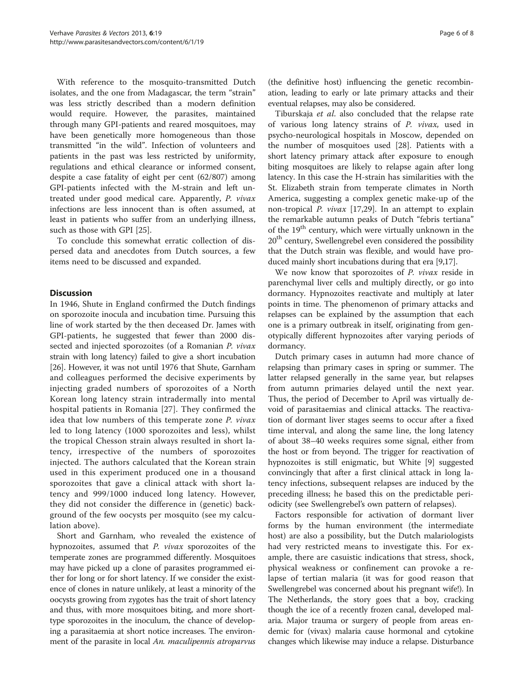With reference to the mosquito-transmitted Dutch isolates, and the one from Madagascar, the term "strain" was less strictly described than a modern definition would require. However, the parasites, maintained through many GPI-patients and reared mosquitoes, may have been genetically more homogeneous than those transmitted "in the wild". Infection of volunteers and patients in the past was less restricted by uniformity, regulations and ethical clearance or informed consent, despite a case fatality of eight per cent (62/807) among GPI-patients infected with the M-strain and left untreated under good medical care. Apparently, P. vivax infections are less innocent than is often assumed, at least in patients who suffer from an underlying illness, such as those with GPI [\[25](#page-7-0)].

To conclude this somewhat erratic collection of dispersed data and anecdotes from Dutch sources, a few items need to be discussed and expanded.

# **Discussion**

In 1946, Shute in England confirmed the Dutch findings on sporozoite inocula and incubation time. Pursuing this line of work started by the then deceased Dr. James with GPI-patients, he suggested that fewer than 2000 dissected and injected sporozoites (of a Romanian P. vivax strain with long latency) failed to give a short incubation [[26](#page-7-0)]. However, it was not until 1976 that Shute, Garnham and colleagues performed the decisive experiments by injecting graded numbers of sporozoites of a North Korean long latency strain intradermally into mental hospital patients in Romania [[27\]](#page-7-0). They confirmed the idea that low numbers of this temperate zone P. vivax led to long latency (1000 sporozoites and less), whilst the tropical Chesson strain always resulted in short latency, irrespective of the numbers of sporozoites injected. The authors calculated that the Korean strain used in this experiment produced one in a thousand sporozoites that gave a clinical attack with short latency and 999/1000 induced long latency. However, they did not consider the difference in (genetic) background of the few oocysts per mosquito (see my calculation above).

Short and Garnham, who revealed the existence of hypnozoites, assumed that P. vivax sporozoites of the temperate zones are programmed differently. Mosquitoes may have picked up a clone of parasites programmed either for long or for short latency. If we consider the existence of clones in nature unlikely, at least a minority of the oocysts growing from zygotes has the trait of short latency and thus, with more mosquitoes biting, and more shorttype sporozoites in the inoculum, the chance of developing a parasitaemia at short notice increases. The environment of the parasite in local An. maculipennis atroparvus

(the definitive host) influencing the genetic recombination, leading to early or late primary attacks and their eventual relapses, may also be considered.

Tiburskaja et al. also concluded that the relapse rate of various long latency strains of P. vivax, used in psycho-neurological hospitals in Moscow, depended on the number of mosquitoes used [[28\]](#page-7-0). Patients with a short latency primary attack after exposure to enough biting mosquitoes are likely to relapse again after long latency. In this case the H-strain has similarities with the St. Elizabeth strain from temperate climates in North America, suggesting a complex genetic make-up of the non-tropical P. vivax [\[17,29](#page-7-0)]. In an attempt to explain the remarkable autumn peaks of Dutch "febris tertiana" of the 19<sup>th</sup> century, which were virtually unknown in the 20<sup>th</sup> century, Swellengrebel even considered the possibility that the Dutch strain was flexible, and would have produced mainly short incubations during that era [[9](#page-6-0)[,17](#page-7-0)].

We now know that sporozoites of P. vivax reside in parenchymal liver cells and multiply directly, or go into dormancy. Hypnozoites reactivate and multiply at later points in time. The phenomenon of primary attacks and relapses can be explained by the assumption that each one is a primary outbreak in itself, originating from genotypically different hypnozoites after varying periods of dormancy.

Dutch primary cases in autumn had more chance of relapsing than primary cases in spring or summer. The latter relapsed generally in the same year, but relapses from autumn primaries delayed until the next year. Thus, the period of December to April was virtually devoid of parasitaemias and clinical attacks. The reactivation of dormant liver stages seems to occur after a fixed time interval, and along the same line, the long latency of about 38–40 weeks requires some signal, either from the host or from beyond. The trigger for reactivation of hypnozoites is still enigmatic, but White [\[9](#page-6-0)] suggested convincingly that after a first clinical attack in long latency infections, subsequent relapses are induced by the preceding illness; he based this on the predictable periodicity (see Swellengrebel's own pattern of relapses).

Factors responsible for activation of dormant liver forms by the human environment (the intermediate host) are also a possibility, but the Dutch malariologists had very restricted means to investigate this. For example, there are casuistic indications that stress, shock, physical weakness or confinement can provoke a relapse of tertian malaria (it was for good reason that Swellengrebel was concerned about his pregnant wife!). In The Netherlands, the story goes that a boy, cracking though the ice of a recently frozen canal, developed malaria. Major trauma or surgery of people from areas endemic for (vivax) malaria cause hormonal and cytokine changes which likewise may induce a relapse. Disturbance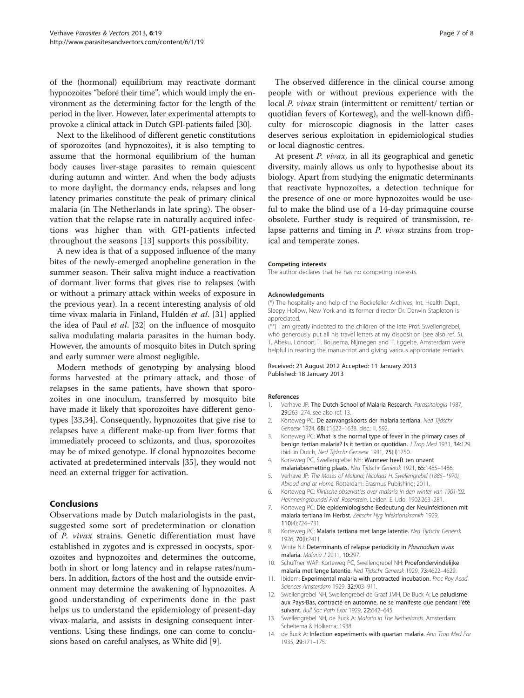<span id="page-6-0"></span>of the (hormonal) equilibrium may reactivate dormant hypnozoites "before their time", which would imply the environment as the determining factor for the length of the period in the liver. However, later experimental attempts to provoke a clinical attack in Dutch GPI-patients failed [[30](#page-7-0)].

Next to the likelihood of different genetic constitutions of sporozoites (and hypnozoites), it is also tempting to assume that the hormonal equilibrium of the human body causes liver-stage parasites to remain quiescent during autumn and winter. And when the body adjusts to more daylight, the dormancy ends, relapses and long latency primaries constitute the peak of primary clinical malaria (in The Netherlands in late spring). The observation that the relapse rate in naturally acquired infections was higher than with GPI-patients infected throughout the seasons [13] supports this possibility.

A new idea is that of a supposed influence of the many bites of the newly-emerged anopheline generation in the summer season. Their saliva might induce a reactivation of dormant liver forms that gives rise to relapses (with or without a primary attack within weeks of exposure in the previous year). In a recent interesting analysis of old time vivax malaria in Finland, Huldén et al. [[31](#page-7-0)] applied the idea of Paul et al. [\[32\]](#page-7-0) on the influence of mosquito saliva modulating malaria parasites in the human body. However, the amounts of mosquito bites in Dutch spring and early summer were almost negligible.

Modern methods of genotyping by analysing blood forms harvested at the primary attack, and those of relapses in the same patients, have shown that sporozoites in one inoculum, transferred by mosquito bite have made it likely that sporozoites have different genotypes [[33,34\]](#page-7-0). Consequently, hypnozoites that give rise to relapses have a different make-up from liver forms that immediately proceed to schizonts, and thus, sporozoites may be of mixed genotype. If clonal hypnozoites become activated at predetermined intervals [\[35](#page-7-0)], they would not need an external trigger for activation.

#### Conclusions

Observations made by Dutch malariologists in the past, suggested some sort of predetermination or clonation of P. vivax strains. Genetic differentiation must have established in zygotes and is expressed in oocysts, sporozoites and hypnozoites and determines the outcome, both in short or long latency and in relapse rates/numbers. In addition, factors of the host and the outside environment may determine the awakening of hypnozoites. A good understanding of experiments done in the past helps us to understand the epidemiology of present-day vivax-malaria, and assists in designing consequent interventions. Using these findings, one can come to conclusions based on careful analyses, as White did [9].

The observed difference in the clinical course among people with or without previous experience with the local P. vivax strain (intermittent or remittent/ tertian or quotidian fevers of Korteweg), and the well-known difficulty for microscopic diagnosis in the latter cases deserves serious exploitation in epidemiological studies or local diagnostic centres.

At present P. vivax, in all its geographical and genetic diversity, mainly allows us only to hypothesise about its biology. Apart from studying the enigmatic determinants that reactivate hypnozoites, a detection technique for the presence of one or more hypnozoites would be useful to make the blind use of a 14-day primaquine course obsolete. Further study is required of transmission, relapse patterns and timing in P. vivax strains from tropical and temperate zones.

#### Competing interests

The author declares that he has no competing interests.

#### Acknowledgements

(\*) The hospitality and help of the Rockefeller Archives, Int. Health Dept., Sleepy Hollow, New York and its former director Dr. Darwin Stapleton is appreciated.

(\*\*) I am greatly indebted to the children of the late Prof. Swellengrebel, who generously put all his travel letters at my disposition (see also ref. 5). T. Abeku, London, T. Bousema, Nijmegen and T. Eggelte, Amsterdam were helpful in reading the manuscript and giving various appropriate remarks.

#### Received: 21 August 2012 Accepted: 11 January 2013 Published: 18 January 2013

#### References

- 1. Verhave JP: The Dutch School of Malaria Research. Parassitologia 1987, 29:263–274. see also ref. 13.
- 2. Korteweg PC: De aanvangskoorts der malaria tertiana. Ned Tijdschr Geneesk 1924, 68(I):1622–1638. disc.: II, 592.
- 3. Korteweg PC: What is the normal type of fever in the primary cases of benign tertian malaria? Is it tertian or quotidian. J Trop Med 1931, 34:129. ibid. in Dutch, Ned Tijdschr Geneesk 1931, 75(II)1750.
- 4. Korteweg PC, Swellengrebel NH: Wanneer heeft ten onzent malariabesmetting plaats. Ned Tijdschr Geneesk 1921, 65:1485–1486.
- 5. Verhave JP: The Moses of Malaria; Nicolaas H. Swellengrebel (1885–1970), Abroad and at Home. Rotterdam: Erasmus Publishing; 2011.
- 6. Korteweg PC: Klinische observaties over malaria in den winter van 1901-'02. Herinneringsbundel Prof. Rosenstein. Leiden: E. IJdo; 1902:263–281.
- 7. Korteweg PC: Die epidemiologische Bedeutung der Neuinfektionen mit malaria tertiana im Herbst. Zeitschr Hyg Infektionskrankh 1929, 110(4):724–731.
- 8. Korteweg PC: Malaria tertiana met lange latentie. Ned Tijdschr Geneesk 1926, 70(I):2411.
- 9. White NJ: Determinants of relapse periodicity in Plasmodium vivax malaria. Malaria J 2011, 10:297.
- 10. Schüffner WAP, Korteweg PC, Swellengrebel NH: Proefondervindelijke malaria met lange latentie. Ned Tijdschr Geneesk 1929, 73:4622–4629.
- 11. Ibidem: Experimental malaria with protracted incubation. Proc Roy Acad Sciences Amsterdam 1929, 32:903–911.
- 12. Swellengrebel NH, Swellengrebel-de Graaf JMH, De Buck A: Le paludisme aux Pays-Bas, contracté en automne, ne se manifeste que pendant l'été suivant. Bull Soc Path Exot 1929, 22:642–645.
- 13. Swellengrebel NH, de Buck A: Malaria in The Netherlands. Amsterdam: Scheltema & Holkema; 1938.
- 14. de Buck A: Infection experiments with quartan malaria. Ann Trop Med Par 1935, 29:171–175.